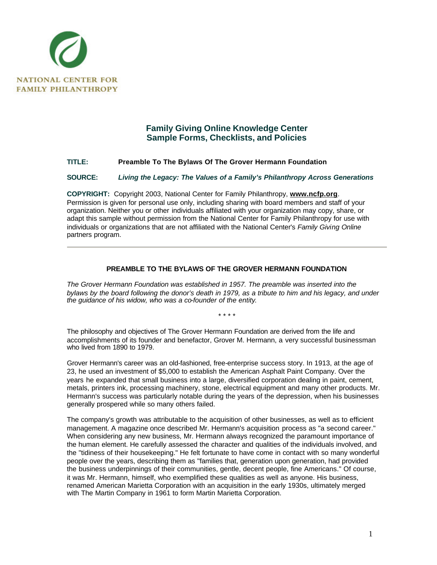

## **Family Giving Online Knowledge Center Sample Forms, Checklists, and Policies**

## **TITLE: Preamble To The Bylaws Of The Grover Hermann Foundation**

**SOURCE:** *Living the Legacy: The Values of a Family's Philanthropy Across Generations*

**COPYRIGHT:** Copyright 2003, National Center for Family Philanthropy, **www.ncfp.org**. Permission is given for personal use only, including sharing with board members and staff of your organization. Neither you or other individuals affiliated with your organization may copy, share, or adapt this sample without permission from the National Center for Family Philanthropy for use with individuals or organizations that are not affiliated with the National Center's *Family Giving Online* partners program.

## **PREAMBLE TO THE BYLAWS OF THE GROVER HERMANN FOUNDATION**

*The Grover Hermann Foundation was established in 1957. The preamble was inserted into the bylaws by the board following the donor's death in 1979, as a tribute to him and his legacy, and under the guidance of his widow, who was a co-founder of the entity*.

\* \* \* \*

The philosophy and objectives of The Grover Hermann Foundation are derived from the life and accomplishments of its founder and benefactor, Grover M. Hermann, a very successful businessman who lived from 1890 to 1979.

Grover Hermann's career was an old-fashioned, free-enterprise success story. In 1913, at the age of 23, he used an investment of \$5,000 to establish the American Asphalt Paint Company. Over the years he expanded that small business into a large, diversified corporation dealing in paint, cement, metals, printers ink, processing machinery, stone, electrical equipment and many other products. Mr. Hermann's success was particularly notable during the years of the depression, when his businesses generally prospered while so many others failed.

The company's growth was attributable to the acquisition of other businesses, as well as to efficient management. A magazine once described Mr. Hermann's acquisition process as "a second career." When considering any new business, Mr. Hermann always recognized the paramount importance of the human element. He carefully assessed the character and qualities of the individuals involved, and the "tidiness of their housekeeping." He felt fortunate to have come in contact with so many wonderful people over the years, describing them as "families that, generation upon generation, had provided the business underpinnings of their communities, gentle, decent people, fine Americans." Of course, it was Mr. Hermann, himself, who exemplified these qualities as well as anyone. His business, renamed American Marietta Corporation with an acquisition in the early 1930s, ultimately merged with The Martin Company in 1961 to form Martin Marietta Corporation.